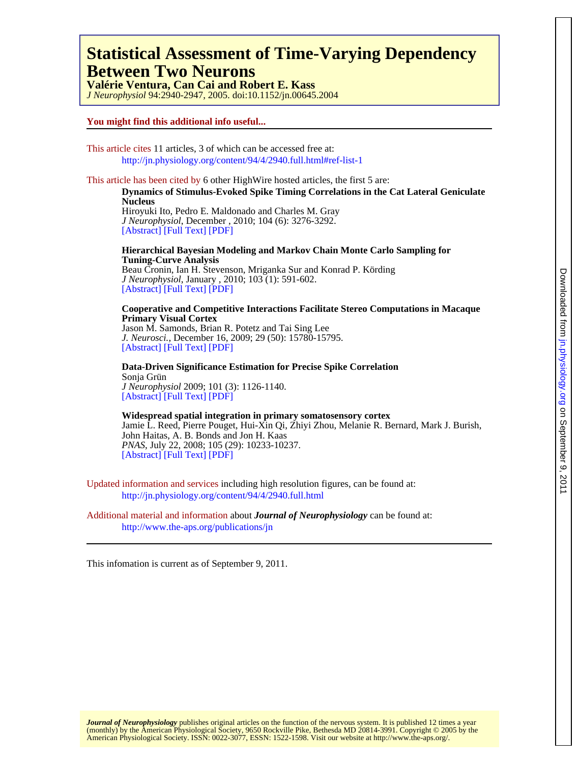# **Between Two Neurons Statistical Assessment of Time-Varying Dependency**

**Valérie Ventura, Can Cai and Robert E. Kass**

*J Neurophysiol* 94:2940-2947, 2005. doi:10.1152/jn.00645.2004

# **You might find this additional info useful...**

This article cites 11 articles, 3 of which can be accessed free at: <http://jn.physiology.org/content/94/4/2940.full.html#ref-list-1>

This article has been cited by 6 other HighWire hosted articles, the first 5 are:

**Nucleus Dynamics of Stimulus-Evoked Spike Timing Correlations in the Cat Lateral Geniculate**

[\[Abstract\]](http://jn.physiology.org/content/104/6/3276.abstract.html) [\[Full Text\]](http://jn.physiology.org/content/104/6/3276.full.html) [\[PDF\]](http://jn.physiology.org/content/104/6/3276.full.pdf) *J Neurophysiol*, December , 2010; 104 (6): 3276-3292. Hiroyuki Ito, Pedro E. Maldonado and Charles M. Gray

[\[Abstract\]](http://jn.physiology.org/content/103/1/591.abstract.html) [\[Full Text\]](http://jn.physiology.org/content/103/1/591.full.html) [\[PDF\]](http://jn.physiology.org/content/103/1/591.full.pdf) *J Neurophysiol*, January , 2010; 103 (1): 591-602. Beau Cronin, Ian H. Stevenson, Mriganka Sur and Konrad P. Körding **Tuning-Curve Analysis Hierarchical Bayesian Modeling and Markov Chain Monte Carlo Sampling for**

Jason M. Samonds, Brian R. Potetz and Tai Sing Lee **Primary Visual Cortex Cooperative and Competitive Interactions Facilitate Stereo Computations in Macaque**

[\[Abstract\]](http://www.jneurosci.org/content/29/50/15780.abstract.html) [\[Full Text\]](http://www.jneurosci.org/content/29/50/15780.full.html) [\[PDF\]](http://www.jneurosci.org/content/29/50/15780.full.pdf) *J. Neurosci.*, December 16, 2009; 29 (50): 15780-15795.

[\[Abstract\]](http://jn.physiology.org/content/101/3/1126.abstract.html) [\[Full Text\]](http://jn.physiology.org/content/101/3/1126.full.html) [\[PDF\]](http://jn.physiology.org/content/101/3/1126.full.pdf) *J Neurophysiol* 2009; 101 (3): 1126-1140. Sonja Grün **Data-Driven Significance Estimation for Precise Spike Correlation**

[\[Abstract\]](http://www.pnas.org/content/105/29/10233.abstract.html) [\[Full Text\]](http://www.pnas.org/content/105/29/10233.full.html) [\[PDF\]](http://www.pnas.org/content/105/29/10233.full.pdf) *PNAS*, July 22, 2008; 105 (29): 10233-10237. John Haitas, A. B. Bonds and Jon H. Kaas Jamie L. Reed, Pierre Pouget, Hui-Xin Qi, Zhiyi Zhou, Melanie R. Bernard, Mark J. Burish, **Widespread spatial integration in primary somatosensory cortex**

Updated information and services including high resolution figures, can be found at: <http://jn.physiology.org/content/94/4/2940.full.html>

Additional material and information about *Journal of Neurophysiology* can be found at: http://www.the-aps.org/publications/jn

This infomation is current as of September 9, 2011.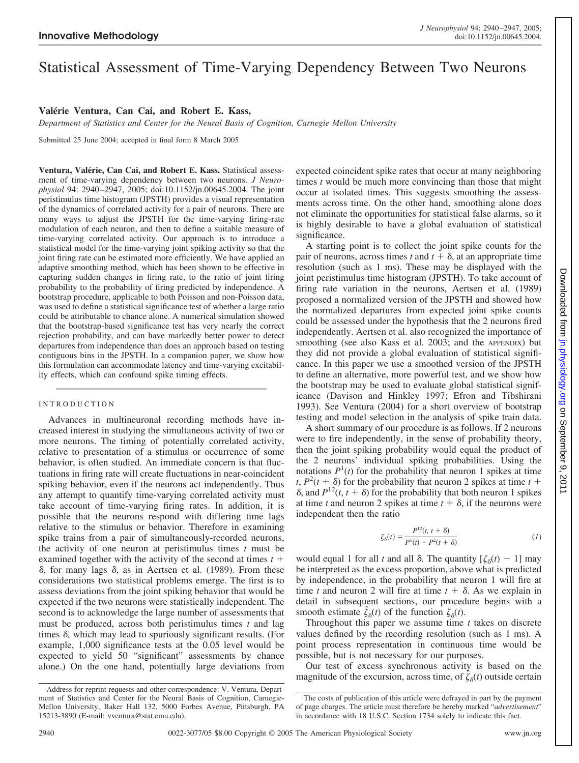# Statistical Assessment of Time-Varying Dependency Between Two Neurons

# **Vale´rie Ventura, Can Cai, and Robert E. Kass,**

*Department of Statistics and Center for the Neural Basis of Cognition, Carnegie Mellon University*

Submitted 25 June 2004; accepted in final form 8 March 2005

Ventura, Valérie, Can Cai, and Robert E. Kass. Statistical assessment of time-varying dependency between two neurons. *J Neurophysiol* 94: 2940 –2947, 2005; doi:10.1152/jn.00645.2004. The joint peristimulus time histogram (JPSTH) provides a visual representation of the dynamics of correlated activity for a pair of neurons. There are many ways to adjust the JPSTH for the time-varying firing-rate modulation of each neuron, and then to define a suitable measure of time-varying correlated activity. Our approach is to introduce a statistical model for the time-varying joint spiking activity so that the joint firing rate can be estimated more efficiently. We have applied an adaptive smoothing method, which has been shown to be effective in capturing sudden changes in firing rate, to the ratio of joint firing probability to the probability of firing predicted by independence. A bootstrap procedure, applicable to both Poisson and non-Poisson data, was used to define a statistical significance test of whether a large ratio could be attributable to chance alone. A numerical simulation showed that the bootstrap-based significance test has very nearly the correct rejection probability, and can have markedly better power to detect departures from independence than does an approach based on testing contiguous bins in the JPSTH. In a companion paper, we show how this formulation can accommodate latency and time-varying excitability effects, which can confound spike timing effects.

## INTRODUCTION

Advances in multineuronal recording methods have increased interest in studying the simultaneous activity of two or more neurons. The timing of potentially correlated activity, relative to presentation of a stimulus or occurrence of some behavior, is often studied. An immediate concern is that fluctuations in firing rate will create fluctuations in near-coincident spiking behavior, even if the neurons act independently. Thus any attempt to quantify time-varying correlated activity must take account of time-varying firing rates. In addition, it is possible that the neurons respond with differing time lags relative to the stimulus or behavior. Therefore in examining spike trains from a pair of simultaneously-recorded neurons, the activity of one neuron at peristimulus times *t* must be examined together with the activity of the second at times  $t +$  $\delta$ , for many lags  $\delta$ , as in Aertsen et al. (1989). From these considerations two statistical problems emerge. The first is to assess deviations from the joint spiking behavior that would be expected if the two neurons were statistically independent. The second is to acknowledge the large number of assessments that must be produced, across both peristimulus times *t* and lag times  $\delta$ , which may lead to spuriously significant results. (For example, 1,000 significance tests at the 0.05 level would be expected to yield 50 "significant" assessments by chance alone.) On the one hand, potentially large deviations from

expected coincident spike rates that occur at many neighboring times *t* would be much more convincing than those that might occur at isolated times. This suggests smoothing the assessments across time. On the other hand, smoothing alone does not eliminate the opportunities for statistical false alarms, so it is highly desirable to have a global evaluation of statistical significance.

A starting point is to collect the joint spike counts for the pair of neurons, across times *t* and  $t + \delta$ , at an appropriate time resolution (such as 1 ms). These may be displayed with the joint peristimulus time histogram (JPSTH). To take account of firing rate variation in the neurons, Aertsen et al. (1989) proposed a normalized version of the JPSTH and showed how the normalized departures from expected joint spike counts could be assessed under the hypothesis that the 2 neurons fired independently. Aertsen et al. also recognized the importance of smoothing (see also Kass et al. 2003; and the APPENDIX) but they did not provide a global evaluation of statistical significance. In this paper we use a smoothed version of the JPSTH to define an alternative, more powerful test, and we show how the bootstrap may be used to evaluate global statistical significance (Davison and Hinkley 1997; Efron and Tibshirani 1993). See Ventura (2004) for a short overview of bootstrap testing and model selection in the analysis of spike train data.

A short summary of our procedure is as follows. If 2 neurons were to fire independently, in the sense of probability theory, then the joint spiking probability would equal the product of the 2 neurons' individual spiking probabilities. Using the notations  $P^1(t)$  for the probability that neuron 1 spikes at time *t*,  $P^2(t + \delta)$  for the probability that neuron 2 spikes at time  $t +$  $\delta$ , and  $P^{12}(t, t + \delta)$  for the probability that both neuron 1 spikes at time *t* and neuron 2 spikes at time  $t + \delta$ , if the neurons were independent then the ratio

$$
\zeta_{\delta}(t) = \frac{P^{12}(t, t + \delta)}{P^{1}(t) \cdot P^{2}(t + \delta)}
$$
 (1)

would equal 1 for all *t* and all  $\delta$ . The quantity  $[\zeta_{\delta}(t) - 1]$  may be interpreted as the excess proportion, above what is predicted by independence, in the probability that neuron 1 will fire at time *t* and neuron 2 will fire at time  $t + \delta$ . As we explain in detail in subsequent sections, our procedure begins with a smooth estimate  $\hat{\zeta}_\delta(t)$  of the function  $\zeta_\delta(t)$ .

Throughout this paper we assume time *t* takes on discrete values defined by the recording resolution (such as 1 ms). A point process representation in continuous time would be possible, but is not necessary for our purposes.

Our test of excess synchronous activity is based on the magnitude of the excursion, across time, of  $\hat{\zeta}_\delta(t)$  outside certain

Address for reprint requests and other correspondence: V. Ventura, Department of Statistics and Center for the Neural Basis of Cognition, Carnegie-Mellon University, Baker Hall 132, 5000 Forbes Avenue, Pittsburgh, PA 15213-3890 (E-mail: vventura@stat.cmu.edu).

The costs of publication of this article were defrayed in part by the payment of page charges. The article must therefore be hereby marked "*advertisement*" in accordance with 18 U.S.C. Section 1734 solely to indicate this fact.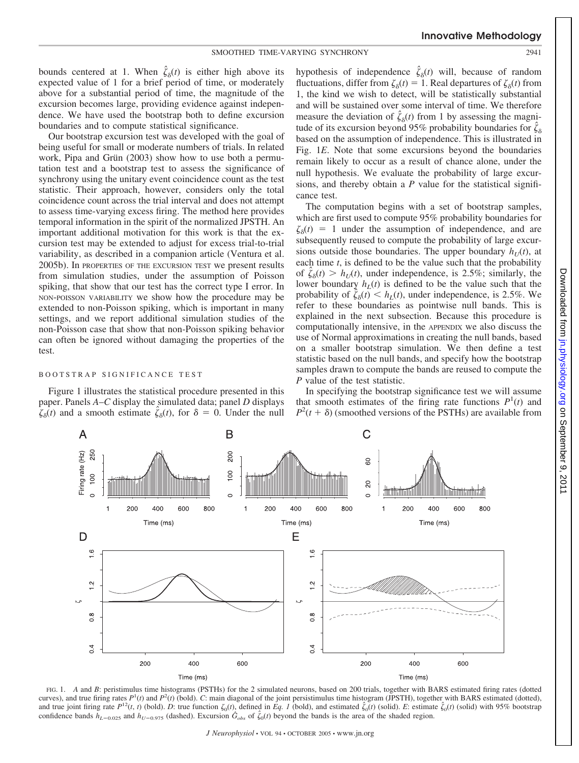bounds centered at 1. When  $\hat{\zeta}_\delta(t)$  is either high above its expected value of 1 for a brief period of time, or moderately above for a substantial period of time, the magnitude of the excursion becomes large, providing evidence against independence. We have used the bootstrap both to define excursion boundaries and to compute statistical significance.

Our bootstrap excursion test was developed with the goal of being useful for small or moderate numbers of trials. In related work, Pipa and Grün (2003) show how to use both a permutation test and a bootstrap test to assess the significance of synchrony using the unitary event coincidence count as the test statistic. Their approach, however, considers only the total coincidence count across the trial interval and does not attempt to assess time-varying excess firing. The method here provides temporal information in the spirit of the normalized JPSTH. An important additional motivation for this work is that the excursion test may be extended to adjust for excess trial-to-trial variability, as described in a companion article (Ventura et al. 2005b). In PROPERTIES OF THE EXCURSION TEST we present results from simulation studies, under the assumption of Poisson spiking, that show that our test has the correct type I error. In NON-POISSON VARIABILITY we show how the procedure may be extended to non-Poisson spiking, which is important in many settings, and we report additional simulation studies of the non-Poisson case that show that non-Poisson spiking behavior can often be ignored without damaging the properties of the test.

# BOOTSTRAP SIGNIFICANCE TEST

Figure 1 illustrates the statistical procedure presented in this paper. Panels *A*–*C* display the simulated data; panel *D* displays  $\hat{\zeta}_\delta(t)$  and a smooth estimate  $\hat{\zeta}_\delta(t)$ , for  $\delta = 0$ . Under the null

hypothesis of independence  $\hat{\zeta}_\delta(t)$  will, because of random fluctuations, differ from  $\zeta_{\delta}(t) = 1$ . Real departures of  $\zeta_{\delta}(t)$  from 1, the kind we wish to detect, will be statistically substantial and will be sustained over some interval of time. We therefore measure the deviation of  $\hat{\zeta}_\delta(t)$  from 1 by assessing the magnitude of its excursion beyond 95% probability boundaries for  $\hat{\zeta}_\delta$ based on the assumption of independence. This is illustrated in Fig. 1*E*. Note that some excursions beyond the boundaries remain likely to occur as a result of chance alone, under the null hypothesis. We evaluate the probability of large excursions, and thereby obtain a *P* value for the statistical significance test.

The computation begins with a set of bootstrap samples, which are first used to compute 95% probability boundaries for  $\zeta_{\delta}(t) = 1$  under the assumption of independence, and are subsequently reused to compute the probability of large excursions outside those boundaries. The upper boundary  $h_U(t)$ , at each time *t*, is defined to be the value such that the probability of  $\hat{\zeta}_\delta(t) > h_U(t)$ , under independence, is 2.5%; similarly, the lower boundary  $h_L(t)$  is defined to be the value such that the probability of  $\hat{\zeta}_\delta(t) < h_L(t)$ , under independence, is 2.5%. We refer to these boundaries as pointwise null bands. This is explained in the next subsection. Because this procedure is computationally intensive, in the APPENDIX we also discuss the use of Normal approximations in creating the null bands, based on a smaller bootstrap simulation. We then define a test statistic based on the null bands, and specify how the bootstrap samples drawn to compute the bands are reused to compute the *P* value of the test statistic.

In specifying the bootstrap significance test we will assume that smooth estimates of the firing rate functions  $P^1(t)$  and  $P^2(t + \delta)$  (smoothed versions of the PSTHs) are available from



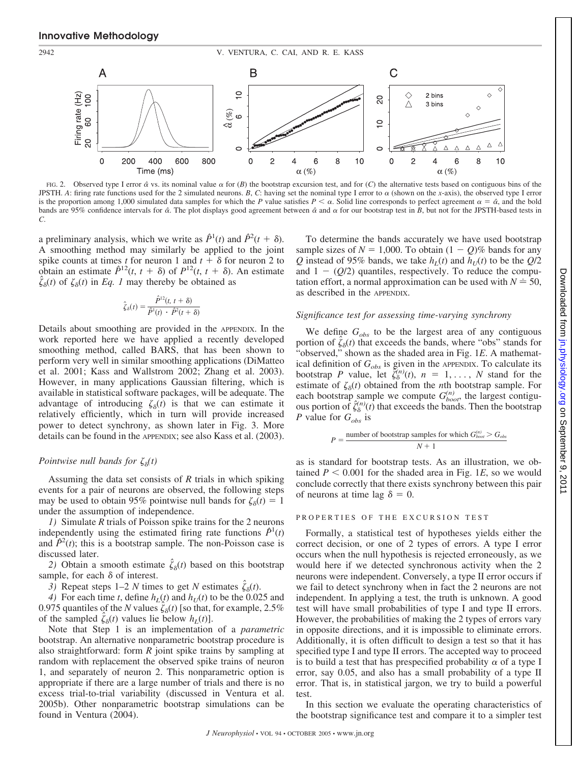

FIG. 2. Observed type I error  $\hat{\alpha}$  vs. its nominal value  $\alpha$  for (*B*) the bootstrap excursion test, and for (*C*) the alternative tests based on contiguous bins of the JPSTH. A: firing rate functions used for the 2 simulated neurons. *B*, *C*: having set the nominal type I error to  $\alpha$  (shown on the *x*-axis), the observed type I error is the proportion among 1,000 simulated data samples for which the *P* value satisfies  $P < \alpha$ . Solid line corresponds to perfect agreement  $\alpha = \hat{\alpha}$ , and the bold bands are 95% confidence intervals for  $\hat{\alpha}$ . The plot displays good agreement between  $\hat{\alpha}$  and  $\alpha$  for our bootstrap test in *B*, but not for the JPSTH-based tests in *C*.

a preliminary analysis, which we write as  $\hat{P}^1(t)$  and  $\hat{P}^2(t + \delta)$ . A smoothing method may similarly be applied to the joint spike counts at times *t* for neuron 1 and  $t + \delta$  for neuron 2 to obtain an estimate  $\hat{P}^{12}(t, t + \delta)$  of  $P^{12}(t, t + \delta)$ . An estimate  $\hat{\zeta}_\delta(t)$  of  $\zeta_\delta(t)$  in *Eq. 1* may thereby be obtained as

$$
\hat{\zeta}_{\delta}(t) = \frac{\hat{P}^{12}(t, t + \delta)}{\hat{P}^{1}(t) \cdot \hat{P}^{2}(t + \delta)}
$$

Details about smoothing are provided in the APPENDIX. In the work reported here we have applied a recently developed smoothing method, called BARS, that has been shown to perform very well in similar smoothing applications (DiMatteo et al. 2001; Kass and Wallstrom 2002; Zhang et al. 2003). However, in many applications Gaussian filtering, which is available in statistical software packages, will be adequate. The advantage of introducing  $\zeta_{\delta}(t)$  is that we can estimate it relatively efficiently, which in turn will provide increased power to detect synchrony, as shown later in Fig. 3. More details can be found in the APPENDIX; see also Kass et al. (2003).

# Pointwise null bands for  $\zeta_{\delta}(t)$

Assuming the data set consists of *R* trials in which spiking events for a pair of neurons are observed, the following steps may be used to obtain 95% pointwise null bands for  $\zeta_{\delta}(t) = 1$ under the assumption of independence.

*1)* Simulate *R* trials of Poisson spike trains for the 2 neurons independently using the estimated firing rate functions  $\hat{P}^{1}(t)$ and  $\hat{P}^2(t)$ ; this is a bootstrap sample. The non-Poisson case is discussed later.

2) Obtain a smooth estimate  $\hat{\zeta}_\delta(t)$  based on this bootstrap sample, for each  $\delta$  of interest.

3) Repeat steps 1–2 *N* times to get *N* estimates  $\hat{\zeta}_8(t)$ .

*4*) For each time *t*, define  $h<sub>I</sub>(t)$  and  $h<sub>II</sub>(t)$  to be the 0.025 and 0.975 quantiles of the *N* values  $\zeta_{\delta}^{(t)}(t)$  [so that, for example, 2.5% of the sampled  $\hat{\zeta}_\delta(t)$  values lie below  $h_L(t)$ ].

Note that Step 1 is an implementation of a *parametric* bootstrap. An alternative nonparametric bootstrap procedure is also straightforward: form *R* joint spike trains by sampling at random with replacement the observed spike trains of neuron 1, and separately of neuron 2. This nonparametric option is appropriate if there are a large number of trials and there is no excess trial-to-trial variability (discussed in Ventura et al. 2005b). Other nonparametric bootstrap simulations can be found in Ventura (2004).

To determine the bands accurately we have used bootstrap sample sizes of  $N = 1,000$ . To obtain  $(1 - Q)\%$  bands for any *Q* instead of 95% bands, we take  $h_l(t)$  and  $h_{l}(t)$  to be the  $Q/2$ and  $1 - (Q/2)$  quantiles, respectively. To reduce the computation effort, a normal approximation can be used with  $N = 50$ , as described in the APPENDIX.

# *Significance test for assessing time-varying synchrony*

We define  $G_{obs}$  to be the largest area of any contiguous portion of  $\hat{\zeta}_\delta(t)$  that exceeds the bands, where "obs" stands for "observed," shown as the shaded area in Fig. 1*E*. A mathematical definition of *Gobs* is given in the APPENDIX. To calculate its bootstrap *P* value, let  $\zeta_{\delta}^{(n)}(t)$ ,  $n = 1, ..., N$  stand for the estimate of  $\zeta_{\delta}(t)$  obtained from the *n*th bootstrap sample. For each bootstrap sample we compute  $G_{book}^{(n)}$ , the largest contiguous portion of  $\hat{\zeta}_\delta^{(n)}(t)$  that exceeds the bands. Then the bootstrap *P* value for  $G_{obs}$  is

$$
P = \frac{\text{number of bootstrap samples for which } G_{\text{boot}}^{(n)} > G_{\text{obs}}}{N+1}
$$

as is standard for bootstrap tests. As an illustration, we obtained  $P \le 0.001$  for the shaded area in Fig. 1*E*, so we would conclude correctly that there exists synchrony between this pair of neurons at time lag  $\delta = 0$ .

#### PROPERTIES OF THE EXCURSION TEST

Formally, a statistical test of hypotheses yields either the correct decision, or one of 2 types of errors. A type I error occurs when the null hypothesis is rejected erroneously, as we would here if we detected synchronous activity when the 2 neurons were independent. Conversely, a type II error occurs if we fail to detect synchrony when in fact the 2 neurons are not independent. In applying a test, the truth is unknown. A good test will have small probabilities of type I and type II errors. However, the probabilities of making the 2 types of errors vary in opposite directions, and it is impossible to eliminate errors. Additionally, it is often difficult to design a test so that it has specified type I and type II errors. The accepted way to proceed is to build a test that has prespecified probability  $\alpha$  of a type I error, say 0.05, and also has a small probability of a type II error. That is, in statistical jargon, we try to build a powerful test.

In this section we evaluate the operating characteristics of the bootstrap significance test and compare it to a simpler test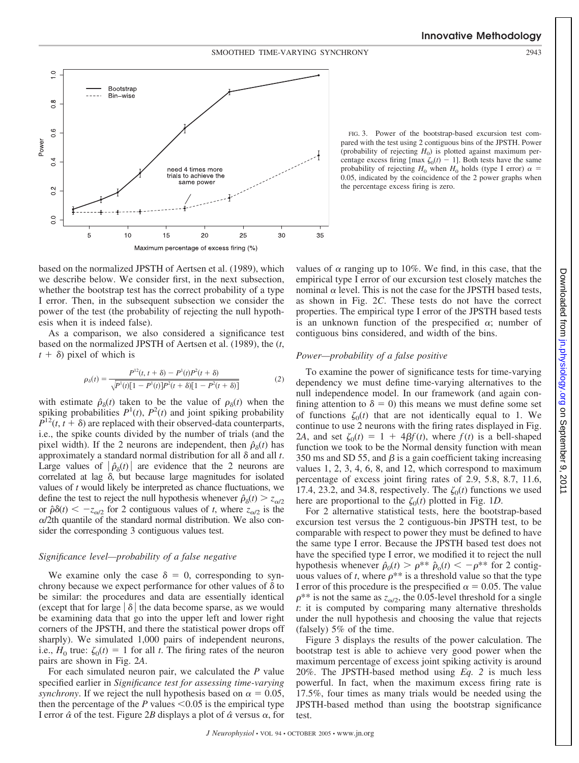



FIG. 3. Power of the bootstrap-based excursion test compared with the test using 2 contiguous bins of the JPSTH. Power (probability of rejecting  $H_0$ ) is plotted against maximum percentage excess firing  $\left[\max \zeta_0(t) - 1\right]$ . Both tests have the same probability of rejecting  $H_0$  when  $H_0$  holds (type I error)  $\alpha$  = 0.05, indicated by the coincidence of the 2 power graphs when the percentage excess firing is zero.

based on the normalized JPSTH of Aertsen et al. (1989), which we describe below. We consider first, in the next subsection, whether the bootstrap test has the correct probability of a type I error. Then, in the subsequent subsection we consider the power of the test (the probability of rejecting the null hypothesis when it is indeed false).

As a comparison, we also considered a significance test based on the normalized JPSTH of Aertsen et al. (1989), the (*t*,  $t + \delta$ ) pixel of which is

$$
\rho_{\delta}(t) = \frac{P^{12}(t, t + \delta) - P^{1}(t)P^{2}(t + \delta)}{\sqrt{P^{1}(t)[1 - P^{1}(t)]P^{2}(t + \delta)[1 - P^{2}(t + \delta)]}}
$$
(2)

with estimate  $\hat{\rho}_{\delta}(t)$  taken to be the value of  $\rho_{\delta}(t)$  when the spiking probabilities  $P^1(t)$ ,  $P^2(t)$  and joint spiking probability  $P^{12}(t, t + \delta)$  are replaced with their observed-data counterparts, i.e., the spike counts divided by the number of trials (and the pixel width). If the 2 neurons are independent, then  $\hat{\rho}_{\delta}(t)$  has approximately a standard normal distribution for all  $\delta$  and all  $t$ . Large values of  $|\hat{\rho}_{\delta}(t)|$  are evidence that the 2 neurons are correlated at lag  $\delta$ , but because large magnitudes for isolated values of *t* would likely be interpreted as chance fluctuations, we define the test to reject the null hypothesis whenever  $\hat{\rho}_{\delta}(t) > z_{\alpha/2}$ or  $\hat{\rho}\delta(t) < -z_{\alpha/2}$  for 2 contiguous values of *t*, where  $z_{\alpha/2}$  is the  $\alpha$ /2th quantile of the standard normal distribution. We also consider the corresponding 3 contiguous values test.

# *Significance level—probability of a false negative*

We examine only the case  $\delta = 0$ , corresponding to synchrony because we expect performance for other values of  $\delta$  to be similar: the procedures and data are essentially identical (except that for large  $\delta$  the data become sparse, as we would be examining data that go into the upper left and lower right corners of the JPSTH, and there the statistical power drops off sharply). We simulated 1,000 pairs of independent neurons, i.e.,  $H_0$  true:  $\zeta_0(t) = 1$  for all *t*. The firing rates of the neuron pairs are shown in Fig. 2*A*.

For each simulated neuron pair, we calculated the *P* value specified earlier in *Significance test for assessing time-varying synchrony*. If we reject the null hypothesis based on  $\alpha = 0.05$ , then the percentage of the  $P$  values  $\leq 0.05$  is the empirical type I error  $\hat{\alpha}$  of the test. Figure 2*B* displays a plot of  $\hat{\alpha}$  versus  $\alpha$ , for values of  $\alpha$  ranging up to 10%. We find, in this case, that the empirical type I error of our excursion test closely matches the nominal  $\alpha$  level. This is not the case for the JPSTH based tests, as shown in Fig. 2*C*. These tests do not have the correct properties. The empirical type I error of the JPSTH based tests is an unknown function of the prespecified  $\alpha$ ; number of contiguous bins considered, and width of the bins.

# *Power—probability of a false positive*

To examine the power of significance tests for time-varying dependency we must define time-varying alternatives to the null independence model. In our framework (and again confining attention to  $\delta = 0$ ) this means we must define some set of functions  $\zeta_0(t)$  that are not identically equal to 1. We continue to use 2 neurons with the firing rates displayed in Fig. 2*A*, and set  $\zeta_0(t) = 1 + 4\beta f(t)$ , where  $f(t)$  is a bell-shaped function we took to be the Normal density function with mean 350 ms and SD 55, and  $\beta$  is a gain coefficient taking increasing values 1, 2, 3, 4, 6, 8, and 12, which correspond to maximum percentage of excess joint firing rates of 2.9, 5.8, 8.7, 11.6, 17.4, 23.2, and 34.8, respectively. The  $\zeta_0(t)$  functions we used here are proportional to the  $\zeta_0(t)$  plotted in Fig. 1*D*.

For 2 alternative statistical tests, here the bootstrap-based excursion test versus the 2 contiguous-bin JPSTH test, to be comparable with respect to power they must be defined to have the same type I error. Because the JPSTH based test does not have the specified type I error, we modified it to reject the null hypothesis whenever  $\hat{\rho}_0(t) > \rho^{**} \hat{\rho}_0(t) < -\rho^{**}$  for 2 contiguous values of *t*, where  $\rho^{**}$  is a threshold value so that the type I error of this procedure is the prespecified  $\alpha = 0.05$ . The value  $\rho^{**}$  is not the same as  $z_{\alpha/2}$ , the 0.05-level threshold for a single *t*: it is computed by comparing many alternative thresholds under the null hypothesis and choosing the value that rejects (falsely) 5% of the time.

Figure 3 displays the results of the power calculation. The bootstrap test is able to achieve very good power when the maximum percentage of excess joint spiking activity is around 20%. The JPSTH-based method using *Eq. 2* is much less powerful. In fact, when the maximum excess firing rate is 17.5%, four times as many trials would be needed using the JPSTH-based method than using the bootstrap significance test.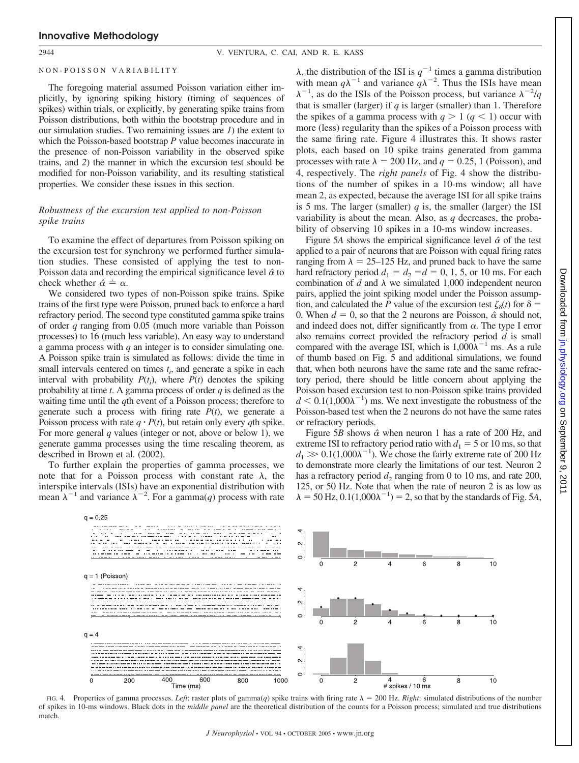### 2944 V. VENTURA, C. CAI, AND R. E. KASS

#### NON-POISSON VARIABILITY

The foregoing material assumed Poisson variation either implicitly, by ignoring spiking history (timing of sequences of spikes) within trials, or explicitly, by generating spike trains from Poisson distributions, both within the bootstrap procedure and in our simulation studies. Two remaining issues are *1*) the extent to which the Poisson-based bootstrap *P* value becomes inaccurate in the presence of non-Poisson variability in the observed spike trains, and *2*) the manner in which the excursion test should be modified for non-Poisson variability, and its resulting statistical properties. We consider these issues in this section.

# *Robustness of the excursion test applied to non-Poisson spike trains*

To examine the effect of departures from Poisson spiking on the excursion test for synchrony we performed further simulation studies. These consisted of applying the test to non-Poisson data and recording the empirical significance level  $\hat{\alpha}$  to check whether  $\hat{\alpha} \doteq \alpha$ .

We considered two types of non-Poisson spike trains. Spike trains of the first type were Poisson, pruned back to enforce a hard refractory period. The second type constituted gamma spike trains of order *q* ranging from 0.05 (much more variable than Poisson processes) to 16 (much less variable). An easy way to understand a gamma process with *q* an integer is to consider simulating one. A Poisson spike train is simulated as follows: divide the time in small intervals centered on times  $t_i$ , and generate a spike in each interval with probability  $P(t_i)$ , where  $P(t)$  denotes the spiking probability at time *t*. A gamma process of order *q* is defined as the waiting time until the *q*th event of a Poisson process; therefore to generate such a process with firing rate  $P(t)$ , we generate a Poisson process with rate  $q \cdot P(t)$ , but retain only every *q*th spike. For more general *q* values (integer or not, above or below 1), we generate gamma processes using the time rescaling theorem, as described in Brown et al. (2002).

To further explain the properties of gamma processes, we note that for a Poisson process with constant rate  $\lambda$ , the interspike intervals (ISIs) have an exponential distribution with mean  $\lambda^{-1}$  and variance  $\lambda^{-2}$ . For a gamma(q) process with rate

 $\lambda$ , the distribution of the ISI is  $q^{-1}$  times a gamma distribution with mean  $q\lambda^{-1}$  and variance  $q\lambda^{-2}$ . Thus the ISIs have mean  $\lambda^{-1}$ , as do the ISIs of the Poisson process, but variance  $\lambda^{-2}/q$ that is smaller (larger) if  $q$  is larger (smaller) than 1. Therefore the spikes of a gamma process with  $q > 1$  ( $q < 1$ ) occur with more (less) regularity than the spikes of a Poisson process with the same firing rate. Figure 4 illustrates this. It shows raster plots, each based on 10 spike trains generated from gamma processes with rate  $\lambda = 200$  Hz, and  $q = 0.25$ , 1 (Poisson), and 4, respectively. The *right panels* of Fig. 4 show the distributions of the number of spikes in a 10-ms window; all have mean 2, as expected, because the average ISI for all spike trains is 5 ms. The larger (smaller) *q* is, the smaller (larger) the ISI variability is about the mean. Also, as *q* decreases, the probability of observing 10 spikes in a 10-ms window increases.

Figure 5A shows the empirical significance level  $\hat{\alpha}$  of the test applied to a pair of neurons that are Poisson with equal firing rates ranging from  $\lambda = 25{\text -}125$  Hz, and pruned back to have the same hard refractory period  $d_1 = d_2 = d = 0, 1, 5,$  or 10 ms. For each combination of  $d$  and  $\lambda$  we simulated 1,000 independent neuron pairs, applied the joint spiking model under the Poisson assumption, and calculated the *P* value of the excursion test  $\zeta_{\delta}(t)$  for  $\delta =$ 0. When  $d = 0$ , so that the 2 neurons are Poisson,  $\hat{\alpha}$  should not, and indeed does not, differ significantly from  $\alpha$ . The type I error also remains correct provided the refractory period *d* is small compared with the average ISI, which is  $1,000\lambda^{-1}$  ms. As a rule of thumb based on Fig. 5 and additional simulations, we found that, when both neurons have the same rate and the same refractory period, there should be little concern about applying the Poisson based excursion test to non-Poisson spike trains provided  $d \le 0.1(1,000\lambda^{-1})$  ms. We next investigate the robustness of the Poisson-based test when the 2 neurons do not have the same rates or refractory periods.

Figure 5*B* shows  $\hat{\alpha}$  when neuron 1 has a rate of 200 Hz, and extreme ISI to refractory period ratio with  $d_1 = 5$  or 10 ms, so that  $d_1 \gg 0.1(1,000\lambda^{-1})$ . We chose the fairly extreme rate of 200 Hz to demonstrate more clearly the limitations of our test. Neuron 2 has a refractory period  $d_2$  ranging from 0 to 10 ms, and rate 200, 125, or 50 Hz. Note that when the rate of neuron 2 is as low as  $\lambda = 50$  Hz,  $0.1(1,000\lambda^{-1}) = 2$ , so that by the standards of Fig. 5A,



FIG. 4. Properties of gamma processes. Left: raster plots of gamma(q) spike trains with firing rate  $\lambda = 200$  Hz. *Right*: simulated distributions of the number of spikes in 10-ms windows. Black dots in the *middle panel* are the theoretical distribution of the counts for a Poisson process; simulated and true distributions match.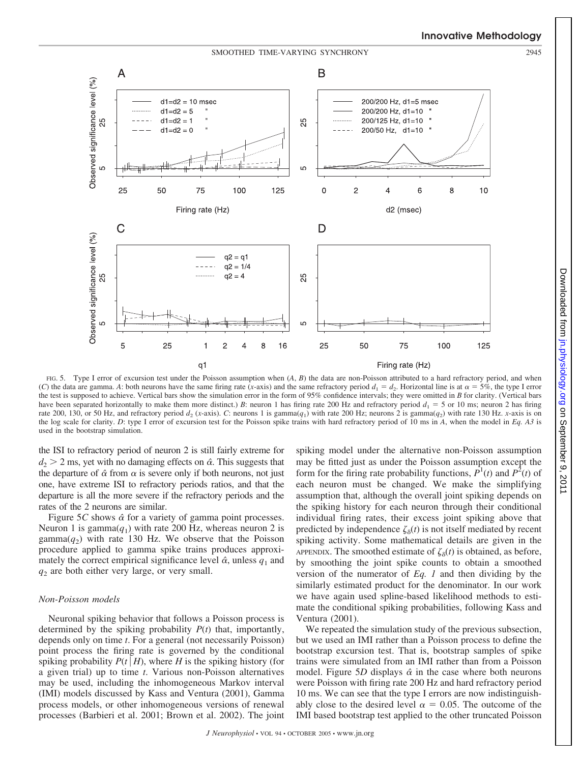# **Innovative Methodology**

SMOOTHED TIME-VARYING SYNCHRONY 2945



FIG. 5. Type I error of excursion test under the Poisson assumption when (*A*, *B*) the data are non-Poisson attributed to a hard refractory period, and when (C) the data are gamma. A: both neurons have the same firing rate (*x*-axis) and the same refractory period  $d_1 = d_2$ . Horizontal line is at  $\alpha = 5\%$ , the type I error the test is supposed to achieve. Vertical bars show the simulation error in the form of 95% confidence intervals; they were omitted in *B* for clarity. (Vertical bars have been separated horizontally to make them more distinct.) *B*: neuron 1 has firing rate 200 Hz and refractory period  $d_1 = 5$  or 10 ms; neuron 2 has firing rate 200, 130, or 50 Hz, and refractory period  $d_2$  (*x*-axis). *C*: neurons 1 is gamma( $q_1$ ) with rate 200 Hz; neurons 2 is gamma( $q_2$ ) with rate 130 Hz. *x*-axis is on the log scale for clarity. *D*: type I error of excursion test for the Poisson spike trains with hard refractory period of 10 ms in *A*, when the model in *Eq. A3* is used in the bootstrap simulation.

the ISI to refractory period of neuron 2 is still fairly extreme for  $d_2$  > 2 ms, yet with no damaging effects on  $\hat{\alpha}$ . This suggests that the departure of  $\hat{\alpha}$  from  $\alpha$  is severe only if both neurons, not just one, have extreme ISI to refractory periods ratios, and that the departure is all the more severe if the refractory periods and the rates of the 2 neurons are similar.

Figure  $5C$  shows  $\hat{\alpha}$  for a variety of gamma point processes. Neuron 1 is gamma $(q_1)$  with rate 200 Hz, whereas neuron 2 is gamma $(q_2)$  with rate 130 Hz. We observe that the Poisson procedure applied to gamma spike trains produces approximately the correct empirical significance level  $\hat{\alpha}$ , unless  $q_1$  and  $q_2$  are both either very large, or very small.

#### *Non-Poisson models*

Neuronal spiking behavior that follows a Poisson process is determined by the spiking probability *P*(*t*) that, importantly, depends only on time *t*. For a general (not necessarily Poisson) point process the firing rate is governed by the conditional spiking probability  $P(t | H)$ , where *H* is the spiking history (for a given trial) up to time *t*. Various non-Poisson alternatives may be used, including the inhomogeneous Markov interval (IMI) models discussed by Kass and Ventura (2001), Gamma process models, or other inhomogeneous versions of renewal processes (Barbieri et al. 2001; Brown et al. 2002). The joint spiking model under the alternative non-Poisson assumption may be fitted just as under the Poisson assumption except the form for the firing rate probability functions,  $\vec{P}^1(t)$  and  $\vec{P}^2(t)$  of each neuron must be changed. We make the simplifying assumption that, although the overall joint spiking depends on the spiking history for each neuron through their conditional individual firing rates, their excess joint spiking above that predicted by independence  $\zeta_{\delta}(t)$  is not itself mediated by recent spiking activity. Some mathematical details are given in the APPENDIX. The smoothed estimate of  $\zeta_{\delta}(t)$  is obtained, as before, by smoothing the joint spike counts to obtain a smoothed version of the numerator of *Eq. 1* and then dividing by the similarly estimated product for the denominator. In our work we have again used spline-based likelihood methods to estimate the conditional spiking probabilities, following Kass and Ventura (2001).

We repeated the simulation study of the previous subsection, but we used an IMI rather than a Poisson process to define the bootstrap excursion test. That is, bootstrap samples of spike trains were simulated from an IMI rather than from a Poisson model. Figure 5*D* displays  $\hat{\alpha}$  in the case where both neurons were Poisson with firing rate 200 Hz and hard refractory period 10 ms. We can see that the type I errors are now indistinguishably close to the desired level  $\alpha = 0.05$ . The outcome of the IMI based bootstrap test applied to the other truncated Poisson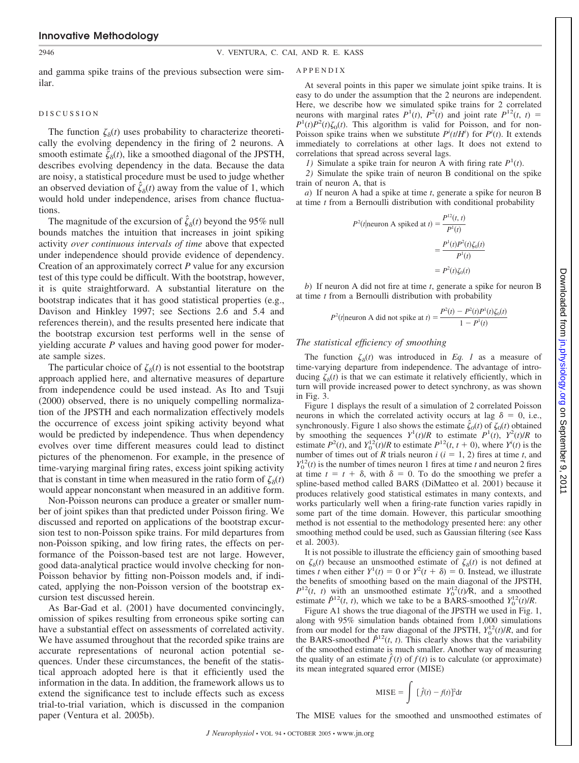and gamma spike trains of the previous subsection were similar.

#### DISCUSSION

The function  $\zeta_{\delta}(t)$  uses probability to characterize theoretically the evolving dependency in the firing of 2 neurons. A smooth estimate  $\tilde{\zeta}_0(t)$ , like a smoothed diagonal of the JPSTH, describes evolving dependency in the data. Because the data are noisy, a statistical procedure must be used to judge whether an observed deviation of  $\hat{\zeta}_\delta(t)$  away from the value of 1, which would hold under independence, arises from chance fluctuations.

The magnitude of the excursion of  $\hat{\zeta}_\delta(t)$  beyond the 95% null bounds matches the intuition that increases in joint spiking activity *over continuous intervals of time* above that expected under independence should provide evidence of dependency. Creation of an approximately correct *P* value for any excursion test of this type could be difficult. With the bootstrap, however, it is quite straightforward. A substantial literature on the bootstrap indicates that it has good statistical properties (e.g., Davison and Hinkley 1997; see Sections 2.6 and 5.4 and references therein), and the results presented here indicate that the bootstrap excursion test performs well in the sense of yielding accurate *P* values and having good power for moderate sample sizes.

The particular choice of  $\zeta_{\delta}(t)$  is not essential to the bootstrap approach applied here, and alternative measures of departure from independence could be used instead. As Ito and Tsuji (2000) observed, there is no uniquely compelling normalization of the JPSTH and each normalization effectively models the occurrence of excess joint spiking activity beyond what would be predicted by independence. Thus when dependency evolves over time different measures could lead to distinct pictures of the phenomenon. For example, in the presence of time-varying marginal firing rates, excess joint spiking activity that is constant in time when measured in the ratio form of  $\zeta_{\delta}(t)$ would appear nonconstant when measured in an additive form.

Non-Poisson neurons can produce a greater or smaller number of joint spikes than that predicted under Poisson firing. We discussed and reported on applications of the bootstrap excursion test to non-Poisson spike trains. For mild departures from non-Poisson spiking, and low firing rates, the effects on performance of the Poisson-based test are not large. However, good data-analytical practice would involve checking for non-Poisson behavior by fitting non-Poisson models and, if indicated, applying the non-Poisson version of the bootstrap excursion test discussed herein.

As Bar-Gad et al. (2001) have documented convincingly, omission of spikes resulting from erroneous spike sorting can have a substantial effect on assessments of correlated activity. We have assumed throughout that the recorded spike trains are accurate representations of neuronal action potential sequences. Under these circumstances, the benefit of the statistical approach adopted here is that it efficiently used the information in the data. In addition, the framework allows us to extend the significance test to include effects such as excess trial-to-trial variation, which is discussed in the companion paper (Ventura et al. 2005b).

#### APPENDIX

At several points in this paper we simulate joint spike trains. It is easy to do under the assumption that the 2 neurons are independent. Here, we describe how we simulated spike trains for 2 correlated neurons with marginal rates  $P^1(t)$ ,  $P^2(t)$  and joint rate  $P^{12}(t, t)$  $P^1(t)P^2(t)\zeta_0(t)$ . This algorithm is valid for Poisson, and for non-Poisson spike trains when we substitute  $P^{i}(t/H^{i})$  for  $P^{i}(t)$ . It extends immediately to correlations at other lags. It does not extend to correlations that spread across several lags.

*1*) Simulate a spike train for neuron A with firing rate  $P^1(t)$ .

*2)* Simulate the spike train of neuron B conditional on the spike train of neuron A, that is

*a*) If neuron A had a spike at time *t*, generate a spike for neuron B at time *t* from a Bernoulli distribution with conditional probability

$$
P2(t|neuron A spixed at t) = \frac{P12(t, t)}{P1(t)}
$$

$$
= \frac{P1(t)P2(t)\zeta0(t)}{P1(t)}
$$

$$
= P2(t)\zeta0(t)
$$

*b*) If neuron A did not fire at time *t*, generate a spike for neuron B at time *t* from a Bernoulli distribution with probability

$$
P^{2}(t|\text{neuron A did not spike at } t) = \frac{P^{2}(t) - P^{2}(t)P^{1}(t)\zeta_{0}(t)}{1 - P^{1}(t)}
$$

#### *The statistical efficiency of smoothing*

The function  $\zeta_{\delta}(t)$  was introduced in *Eq. 1* as a measure of time-varying departure from independence. The advantage of introducing  $\zeta_{\delta}(t)$  is that we can estimate it relatively efficiently, which in turn will provide increased power to detect synchrony, as was shown in Fig. 3.

Figure 1 displays the result of a simulation of 2 correlated Poisson neurons in which the correlated activity occurs at lag  $\delta = 0$ , i.e., synchronously. Figure 1 also shows the estimate  $\hat{\zeta}_0(t)$  of  $\zeta_0(t)$  obtained by smoothing the sequences  $Y^1(t)/R$  to estimate  $P^1(t)$ ,  $Y^2(t)/R$  to estimate  $P^2(t)$ , and  $Y_0^{12}(t)/R$  to estimate  $P^{12}(t, t + 0)$ , where  $Y^i(t)$  is the number of times out of *R* trials neuron  $i$  ( $i = 1, 2$ ) fires at time  $t$ , and  $Y_0^{12}(t)$  is the number of times neuron 1 fires at time *t* and neuron 2 fires at time  $t = t + \delta$ , with  $\delta = 0$ . To do the smoothing we prefer a spline-based method called BARS (DiMatteo et al. 2001) because it produces relatively good statistical estimates in many contexts, and works particularly well when a firing-rate function varies rapidly in some part of the time domain. However, this particular smoothing method is not essential to the methodology presented here: any other smoothing method could be used, such as Gaussian filtering (see Kass et al. 2003).

It is not possible to illustrate the efficiency gain of smoothing based on  $\zeta_{\delta}(t)$  because an unsmoothed estimate of  $\zeta_{\delta}(t)$  is not defined at times *t* when either  $Y^1(t) = 0$  or  $Y^2(t + \delta) = 0$ . Instead, we illustrate the benefits of smoothing based on the main diagonal of the JPSTH,  $P^{12}(t, t)$  with an unsmoothed estimate  $Y_0^{12}(t)/R$ , and a smoothed estimate  $\hat{P}^{12}(t, t)$ , which we take to be a BARS-smoothed  $Y_0^{12}(t)/R$ .

Figure A1 shows the true diagonal of the JPSTH we used in Fig. 1, along with 95% simulation bands obtained from 1,000 simulations from our model for the raw diagonal of the JPSTH,  $Y_0^{12}(t)/R$ , and for the BARS-smoothed  $\hat{P}^{12}(t, t)$ . This clearly shows that the variability of the smoothed estimate is much smaller. Another way of measuring the quality of an estimate  $\hat{f}(t)$  of  $f(t)$  is to calculate (or approximate) its mean integrated squared error (MISE)

$$
MISE = \int [\hat{f}(t) - f(t)]^2 dt
$$

The MISE values for the smoothed and unsmoothed estimates of